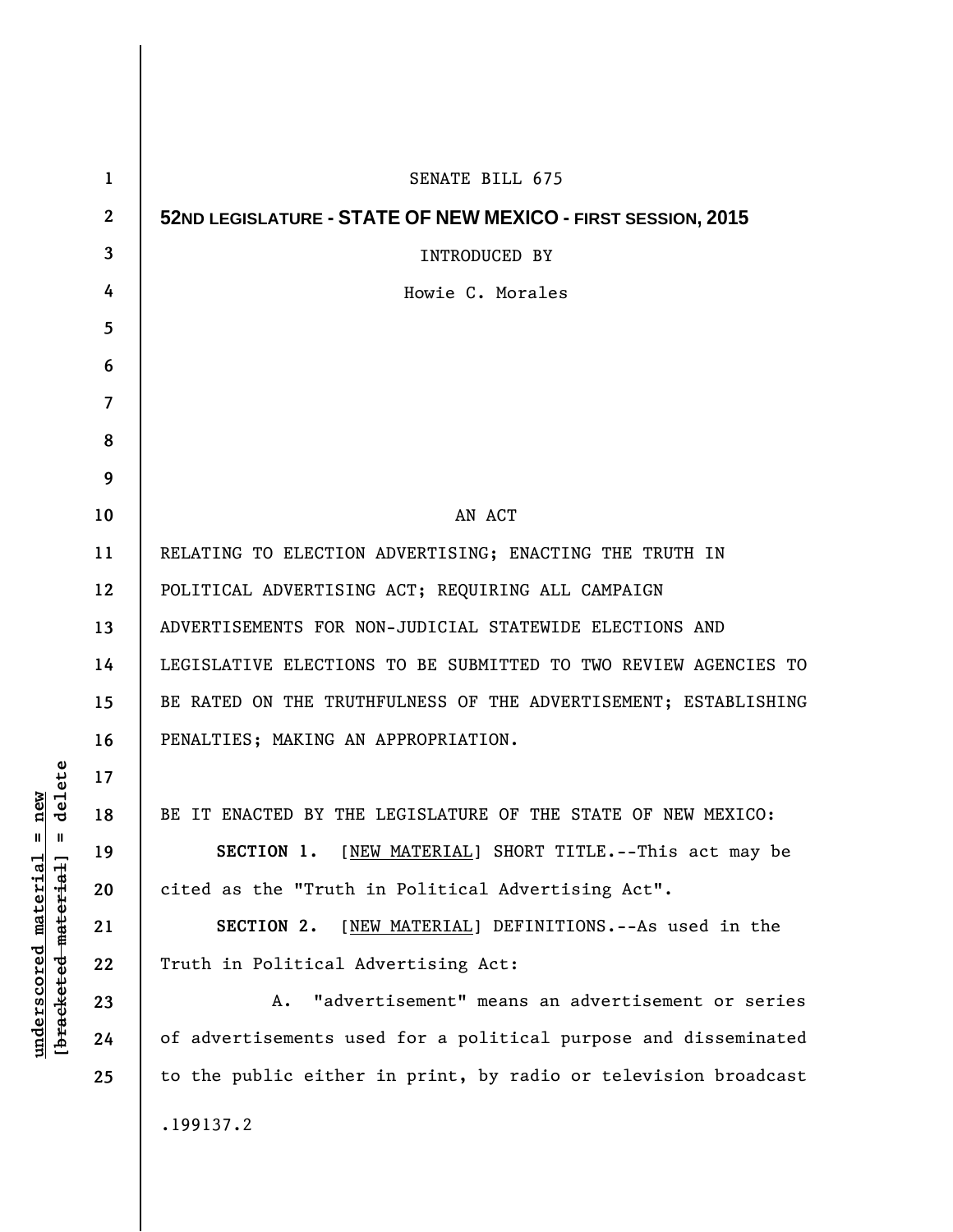| 1            | SENATE BILL 675                                                 |
|--------------|-----------------------------------------------------------------|
| $\mathbf{2}$ | 52ND LEGISLATURE - STATE OF NEW MEXICO - FIRST SESSION, 2015    |
| 3            | <b>INTRODUCED BY</b>                                            |
| 4            | Howie C. Morales                                                |
| 5            |                                                                 |
| 6            |                                                                 |
| 7            |                                                                 |
| 8            |                                                                 |
| 9            |                                                                 |
| 10           | AN ACT                                                          |
| 11           | RELATING TO ELECTION ADVERTISING; ENACTING THE TRUTH IN         |
| 12           | POLITICAL ADVERTISING ACT; REQUIRING ALL CAMPAIGN               |
| 13           | ADVERTISEMENTS FOR NON-JUDICIAL STATEWIDE ELECTIONS AND         |
| 14           | LEGISLATIVE ELECTIONS TO BE SUBMITTED TO TWO REVIEW AGENCIES TO |
| 15           | BE RATED ON THE TRUTHFULNESS OF THE ADVERTISEMENT; ESTABLISHING |
| 16           | PENALTIES; MAKING AN APPROPRIATION.                             |
| 17           |                                                                 |
| 18           | BE IT ENACTED BY THE LEGISLATURE OF THE STATE OF NEW MEXICO:    |
| 19           | SECTION 1. [NEW MATERIAL] SHORT TITLE.--This act may be         |
| 20           | cited as the "Truth in Political Advertising Act".              |
| 21           | SECTION 2.<br>[NEW MATERIAL] DEFINITIONS.--As used in the       |
| 22           | Truth in Political Advertising Act:                             |
| 23           | "advertisement" means an advertisement or series<br>A.          |
| 24           | of advertisements used for a political purpose and disseminated |
| 25           | to the public either in print, by radio or television broadcast |
|              | .199137.2                                                       |

 $[**bracket eted metert et**] = **del et e**$ **[bracketed material] = delete**  $underscored material = new$ **underscored material = new**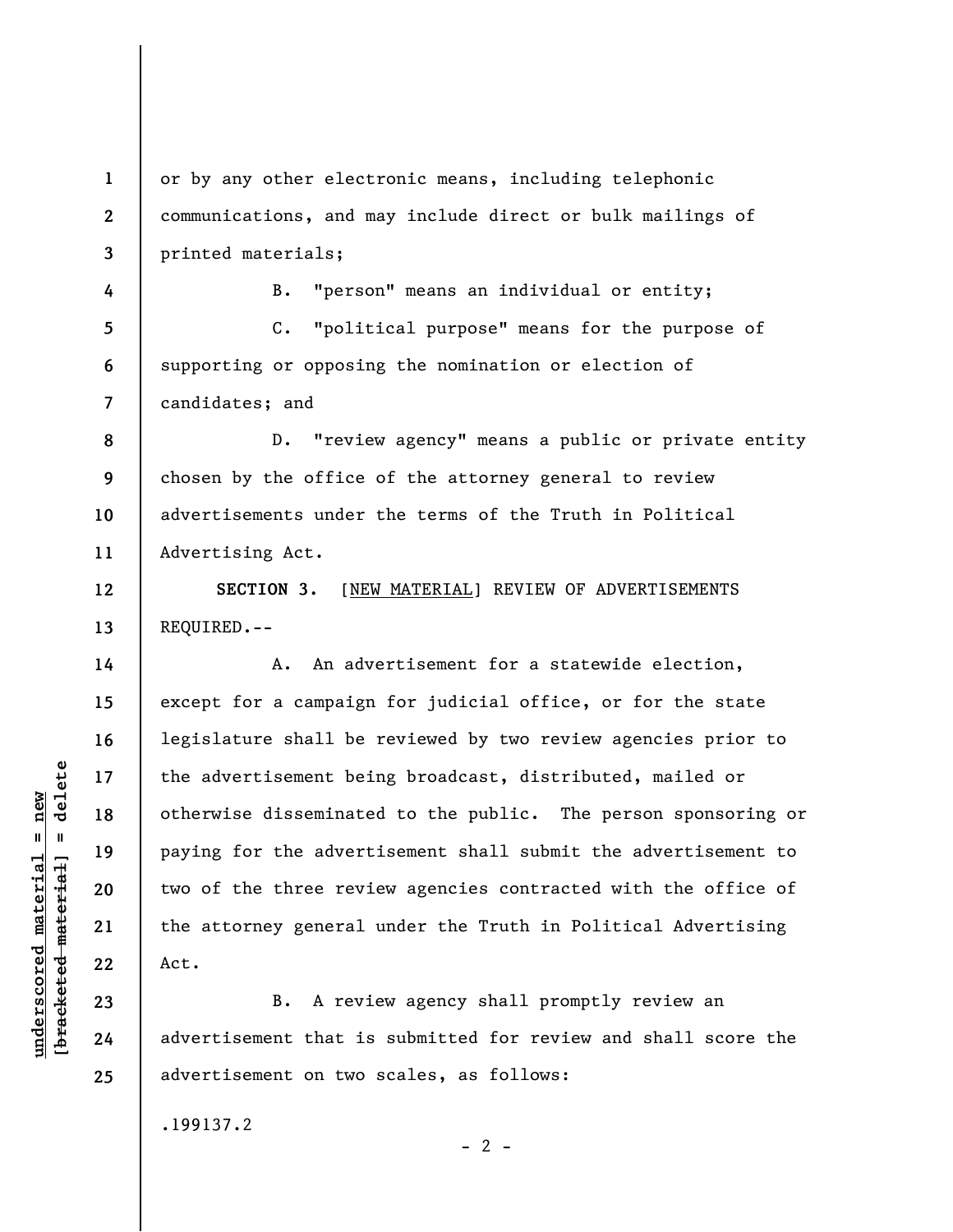**1 2 3**  or by any other electronic means, including telephonic communications, and may include direct or bulk mailings of printed materials;

B. "person" means an individual or entity;

**5 6 7**  C. "political purpose" means for the purpose of supporting or opposing the nomination or election of candidates; and

**8 9 10 11**  D. "review agency" means a public or private entity chosen by the office of the attorney general to review advertisements under the terms of the Truth in Political Advertising Act.

**SECTION 3.** [NEW MATERIAL] REVIEW OF ADVERTISEMENTS REQUIRED.--

A. An advertisement for a statewide election, except for a campaign for judicial office, or for the state legislature shall be reviewed by two review agencies prior to the advertisement being broadcast, distributed, mailed or otherwise disseminated to the public. The person sponsoring or paying for the advertisement shall submit the advertisement to two of the three review agencies contracted with the office of the attorney general under the Truth in Political Advertising Act.

B. A review agency shall promptly review an advertisement that is submitted for review and shall score the advertisement on two scales, as follows:

 $- 2 -$ 

.199137.2

 $\frac{1}{2}$  intereted material = delete **[bracketed material] = delete**  $underscored material = new$ **underscored material = new**

**4** 

**12** 

**13** 

**14** 

**15** 

**16** 

**17** 

**18** 

**19** 

**20** 

**21** 

**22** 

**23** 

**24** 

**25**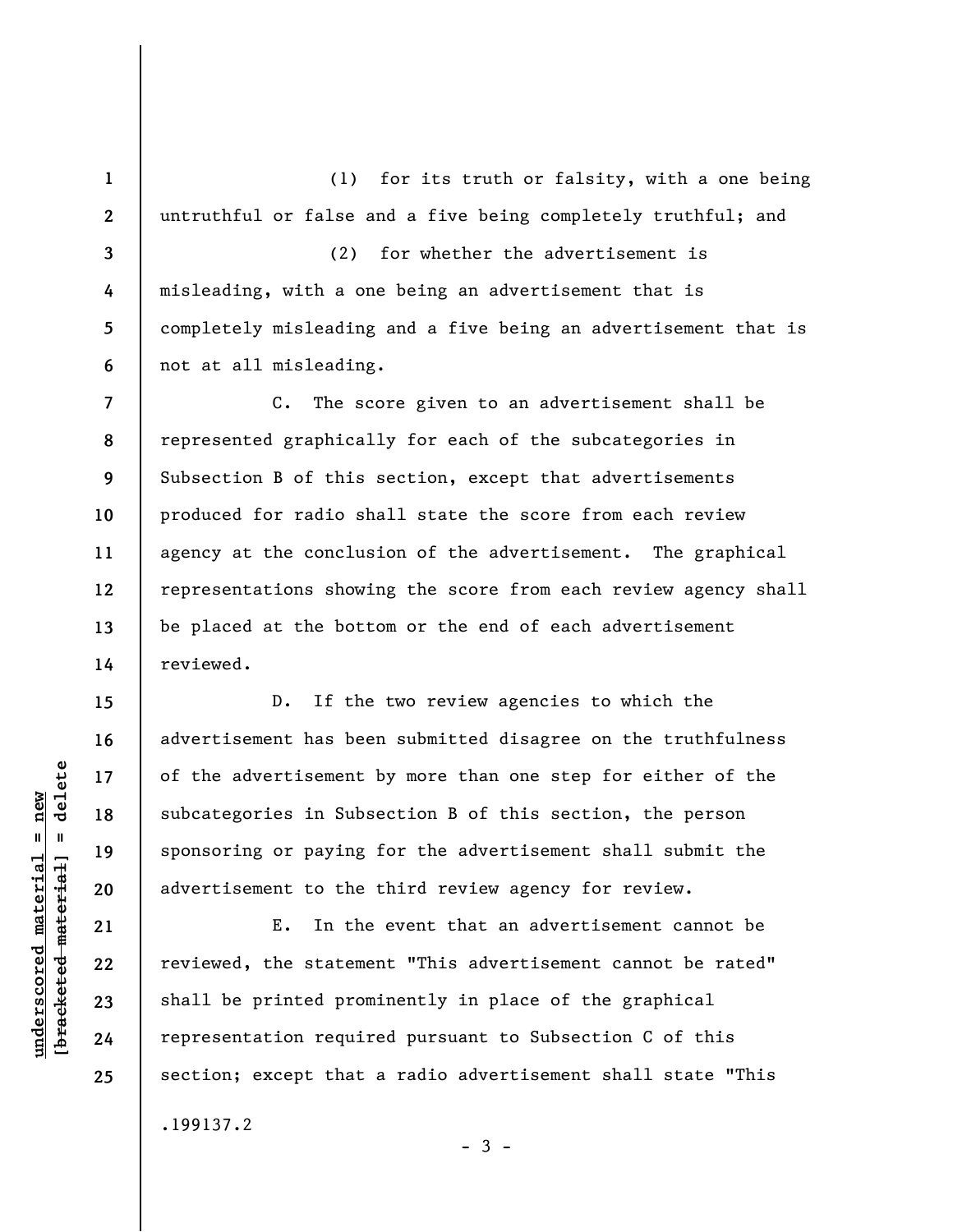(1) for its truth or falsity, with a one being untruthful or false and a five being completely truthful; and

**3 4 5 6**  (2) for whether the advertisement is misleading, with a one being an advertisement that is completely misleading and a five being an advertisement that is not at all misleading.

**7 8 9 10 11 12 13 14**  C. The score given to an advertisement shall be represented graphically for each of the subcategories in Subsection B of this section, except that advertisements produced for radio shall state the score from each review agency at the conclusion of the advertisement. The graphical representations showing the score from each review agency shall be placed at the bottom or the end of each advertisement reviewed.

D. If the two review agencies to which the advertisement has been submitted disagree on the truthfulness of the advertisement by more than one step for either of the subcategories in Subsection B of this section, the person sponsoring or paying for the advertisement shall submit the advertisement to the third review agency for review.

E. In the event that an advertisement cannot be reviewed, the statement "This advertisement cannot be rated" shall be printed prominently in place of the graphical representation required pursuant to Subsection C of this section; except that a radio advertisement shall state "This .199137.2

 $-3 -$ 

**15** 

**16** 

**17** 

**18** 

**19** 

**20** 

**21** 

**22** 

**23** 

**24** 

**25** 

**1** 

**2**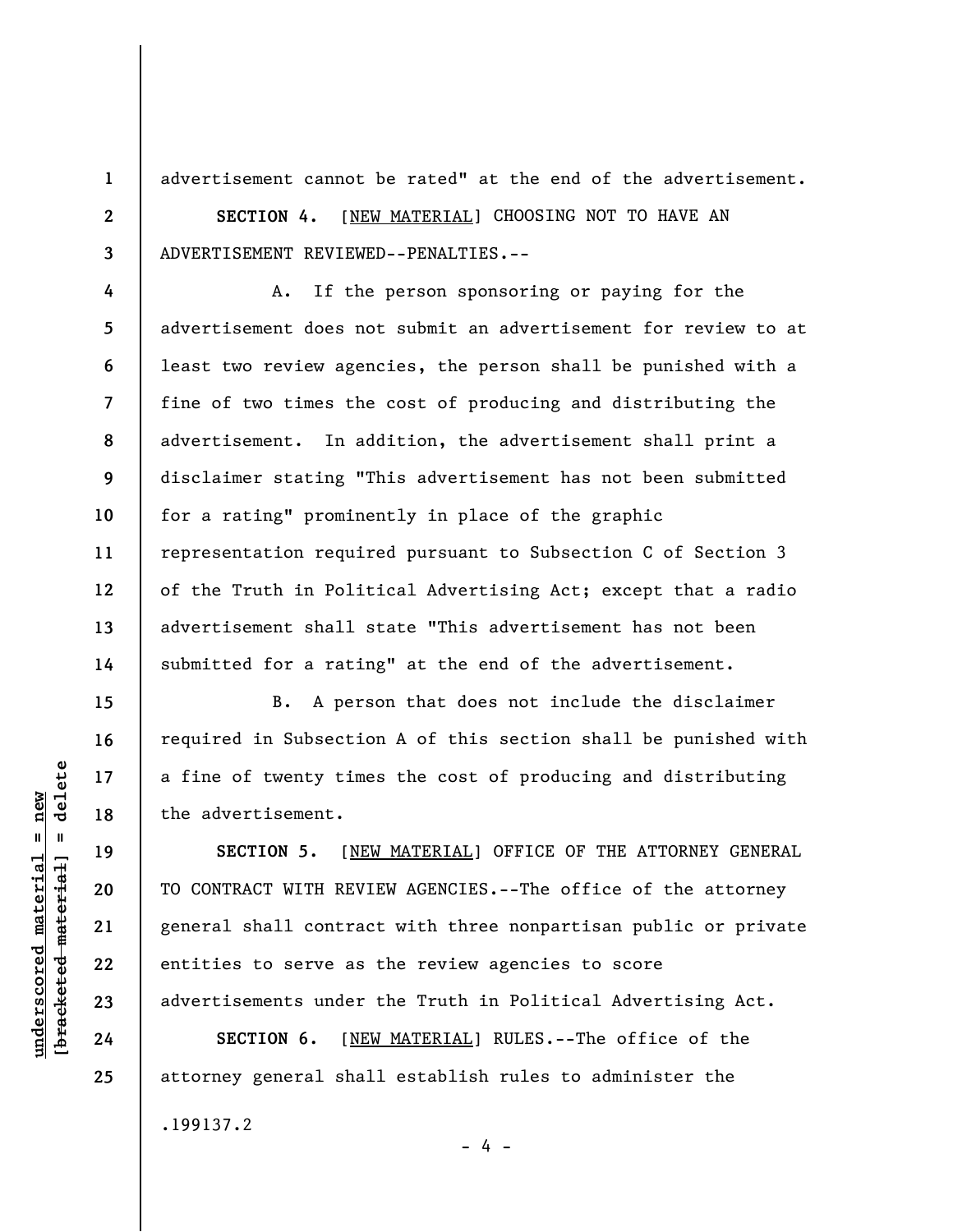advertisement cannot be rated" at the end of the advertisement.

**SECTION 4.** [NEW MATERIAL] CHOOSING NOT TO HAVE AN ADVERTISEMENT REVIEWED--PENALTIES.--

A. If the person sponsoring or paying for the advertisement does not submit an advertisement for review to at least two review agencies, the person shall be punished with a fine of two times the cost of producing and distributing the advertisement. In addition, the advertisement shall print a disclaimer stating "This advertisement has not been submitted for a rating" prominently in place of the graphic representation required pursuant to Subsection C of Section 3 of the Truth in Political Advertising Act; except that a radio advertisement shall state "This advertisement has not been submitted for a rating" at the end of the advertisement.

B. A person that does not include the disclaimer required in Subsection A of this section shall be punished with a fine of twenty times the cost of producing and distributing the advertisement.

**SECTION 5.** [NEW MATERIAL] OFFICE OF THE ATTORNEY GENERAL TO CONTRACT WITH REVIEW AGENCIES.--The office of the attorney general shall contract with three nonpartisan public or private entities to serve as the review agencies to score advertisements under the Truth in Political Advertising Act.

- 4 -

**SECTION 6.** [NEW MATERIAL] RULES.--The office of the attorney general shall establish rules to administer the

.199137.2

 $\frac{1}{2}$  intereted material = delete **[bracketed material] = delete**  $underscored material = new$ **underscored material = new**

**1** 

**2** 

**3** 

**4** 

**5** 

**6** 

**7** 

**8** 

**9** 

**10** 

**11** 

**12** 

**13** 

**14** 

**15** 

**16** 

**17** 

**18** 

**19** 

**20** 

**21** 

**22** 

**23** 

**24** 

**25**